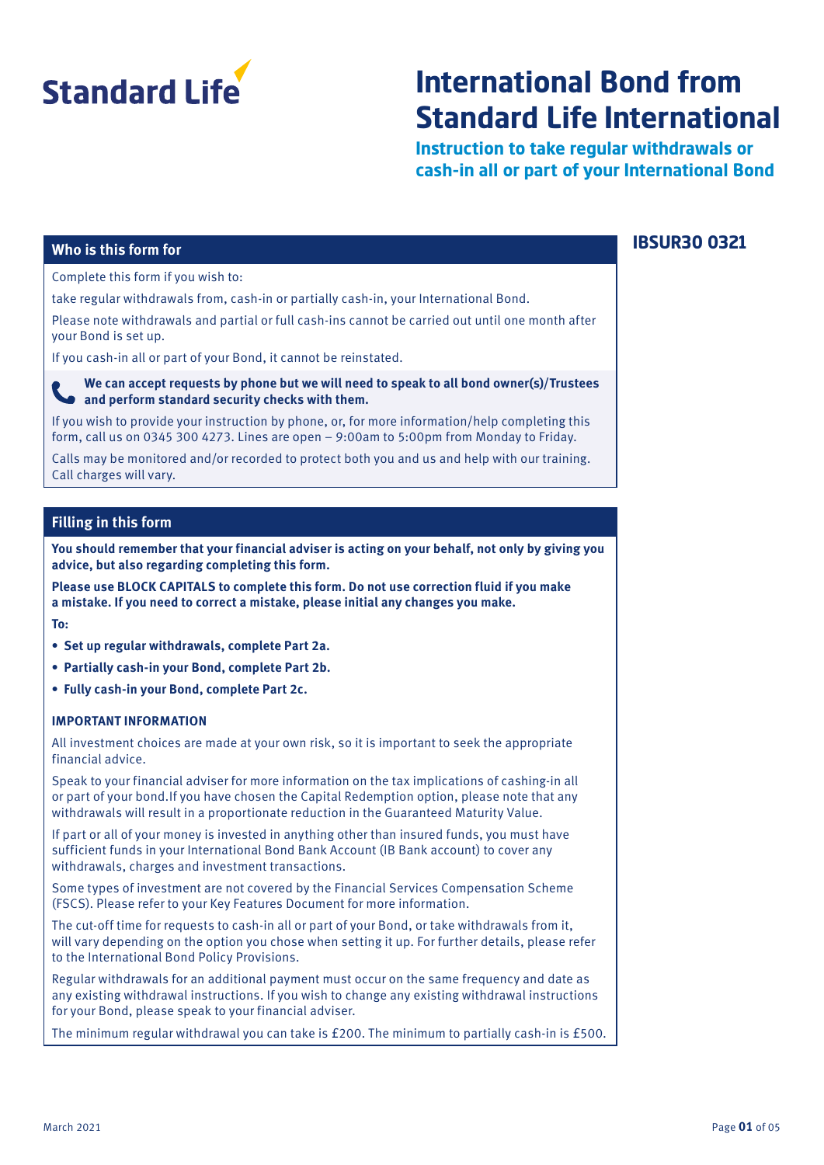

## **International Bond from Standard Life International**

**Instruction to take regular withdrawals or cash-in all or part of your International Bond**

**IBSUR30 0321**

### **Who is this form for**

Complete this form if you wish to:

take regular withdrawals from, cash-in or partially cash-in, your International Bond.

Please note withdrawals and partial or full cash-ins cannot be carried out until one month after your Bond is set up.

If you cash-in all or part of your Bond, it cannot be reinstated.

 **We can accept requests by phone but we will need to speak to all bond owner(s)/Trustees and perform standard security checks with them.** 

If you wish to provide your instruction by phone, or, for more information/help completing this form, call us on 0345 300 4273. Lines are open – 9:00am to 5:00pm from Monday to Friday.

Calls may be monitored and/or recorded to protect both you and us and help with our training. Call charges will vary.

#### **Filling in this form**

**You should remember that your financial adviser is acting on your behalf, not only by giving you advice, but also regarding completing this form.**

**Please use BLOCK CAPITALS to complete this form. Do not use correction fluid if you make a mistake. If you need to correct a mistake, please initial any changes you make. To:** 

- **Set up regular withdrawals, complete Part 2a.**
- **Partially cash-in your Bond, complete Part 2b.**
- **Fully cash-in your Bond, complete Part 2c.**

#### **IMPORTANT INFORMATION**

All investment choices are made at your own risk, so it is important to seek the appropriate financial advice.

Speak to your financial adviser for more information on the tax implications of cashing-in all or part of your bond.If you have chosen the Capital Redemption option, please note that any withdrawals will result in a proportionate reduction in the Guaranteed Maturity Value.

If part or all of your money is invested in anything other than insured funds, you must have sufficient funds in your International Bond Bank Account (IB Bank account) to cover any withdrawals, charges and investment transactions.

Some types of investment are not covered by the Financial Services Compensation Scheme (FSCS). Please refer to your Key Features Document for more information.

The cut-off time for requests to cash-in all or part of your Bond, or take withdrawals from it, will vary depending on the option you chose when setting it up. For further details, please refer to the International Bond Policy Provisions.

Regular withdrawals for an additional payment must occur on the same frequency and date as any existing withdrawal instructions. If you wish to change any existing withdrawal instructions for your Bond, please speak to your financial adviser.

The minimum regular withdrawal you can take is £200. The minimum to partially cash-in is £500.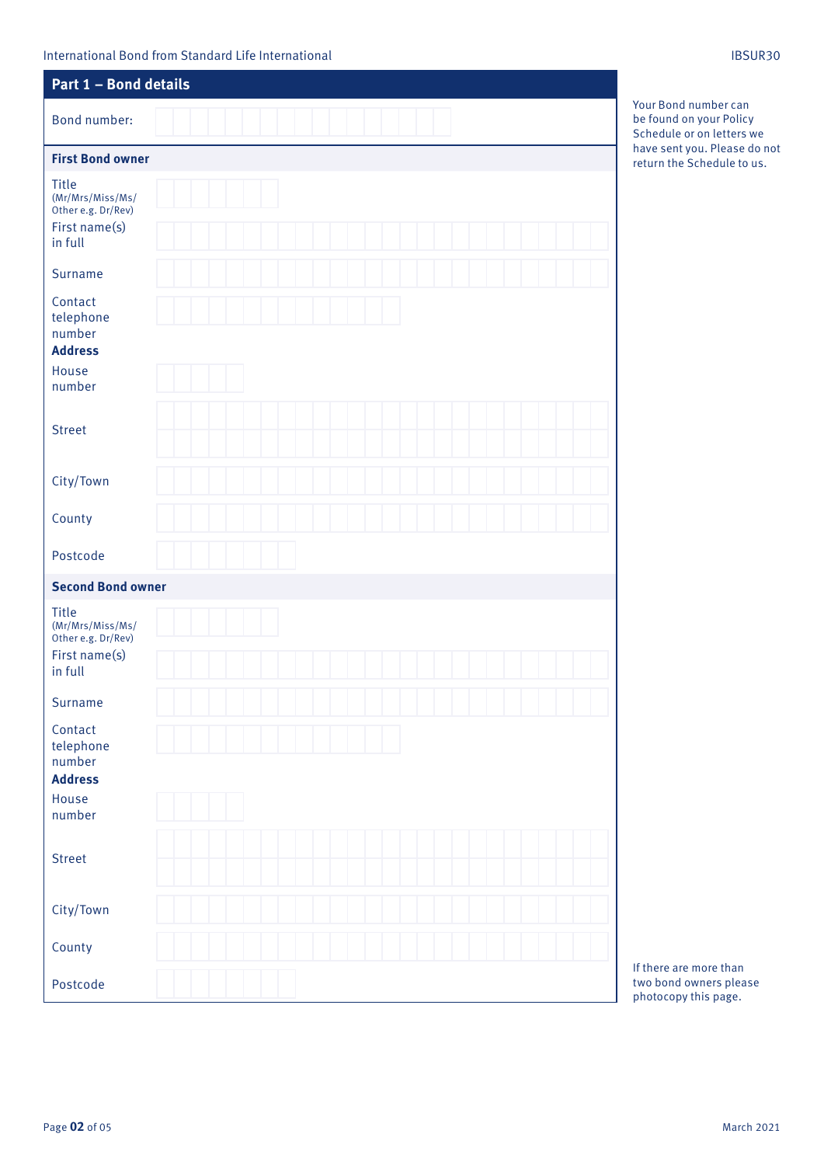### International Bond from Standard Life International IBSUR30

| Part 1 - Bond details                                                              |  |  |  |  |  |  |  |  |  |  |  |  |
|------------------------------------------------------------------------------------|--|--|--|--|--|--|--|--|--|--|--|--|
| Bond number:                                                                       |  |  |  |  |  |  |  |  |  |  |  |  |
| <b>First Bond owner</b>                                                            |  |  |  |  |  |  |  |  |  |  |  |  |
| <b>Title</b><br>(Mr/Mrs/Miss/Ms/<br>Other e.g. Dr/Rev)<br>First name(s)<br>in full |  |  |  |  |  |  |  |  |  |  |  |  |
| Surname                                                                            |  |  |  |  |  |  |  |  |  |  |  |  |
| Contact<br>telephone<br>number<br><b>Address</b>                                   |  |  |  |  |  |  |  |  |  |  |  |  |
| House<br>number                                                                    |  |  |  |  |  |  |  |  |  |  |  |  |
| <b>Street</b>                                                                      |  |  |  |  |  |  |  |  |  |  |  |  |
| City/Town                                                                          |  |  |  |  |  |  |  |  |  |  |  |  |
| County                                                                             |  |  |  |  |  |  |  |  |  |  |  |  |
| Postcode                                                                           |  |  |  |  |  |  |  |  |  |  |  |  |
| <b>Second Bond owner</b>                                                           |  |  |  |  |  |  |  |  |  |  |  |  |
| <b>Title</b><br>(Mr/Mrs/Miss/Ms/<br>Other e.g. Dr/Rev)                             |  |  |  |  |  |  |  |  |  |  |  |  |
| First name(s)<br>in full                                                           |  |  |  |  |  |  |  |  |  |  |  |  |
| Surname                                                                            |  |  |  |  |  |  |  |  |  |  |  |  |
| Contact<br>telephone<br>number<br><b>Address</b>                                   |  |  |  |  |  |  |  |  |  |  |  |  |
| House<br>number                                                                    |  |  |  |  |  |  |  |  |  |  |  |  |
| <b>Street</b>                                                                      |  |  |  |  |  |  |  |  |  |  |  |  |
| City/Town                                                                          |  |  |  |  |  |  |  |  |  |  |  |  |
| County                                                                             |  |  |  |  |  |  |  |  |  |  |  |  |
| Postcode                                                                           |  |  |  |  |  |  |  |  |  |  |  |  |

our Bond number can **be found on your Policy**  $chedule$  or on letters we ave sent you. Please do not turn the Schedule to us.

there are more than vo bond owners please notocopy this page.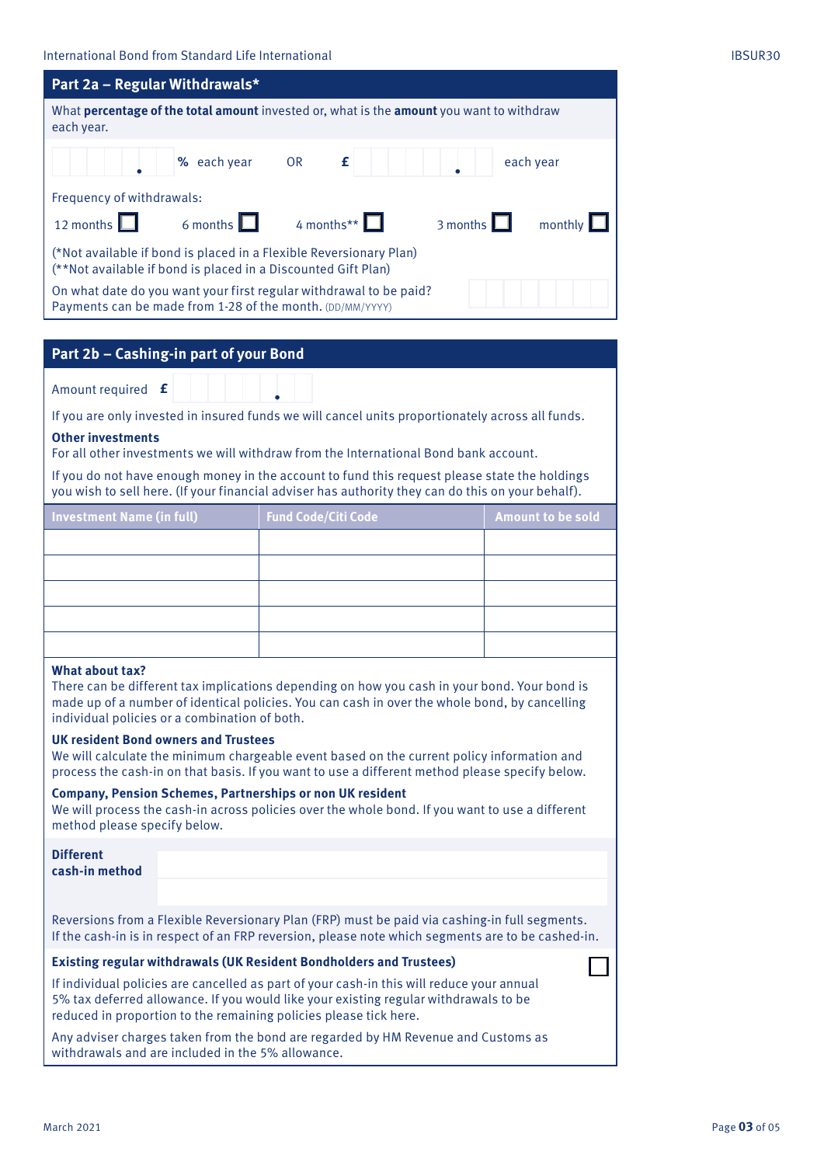| Part 2a - Regular Withdrawals*                                                                                                      |
|-------------------------------------------------------------------------------------------------------------------------------------|
| What <b>percentage of the total amount</b> invested or, what is the <b>amount</b> you want to withdraw<br>each year.                |
| % each year OR $f$<br>each year                                                                                                     |
| Frequency of withdrawals:                                                                                                           |
| 6 months $\Box$<br>12 months $\Box$<br>4 months**<br>3 months $\Box$<br>monthly                                                     |
| (*Not available if bond is placed in a Flexible Reversionary Plan)<br>(**Not available if bond is placed in a Discounted Gift Plan) |
| On what date do you want your first regular withdrawal to be paid?<br>Payments can be made from 1-28 of the month. (DD/MM/YYYY)     |

#### **Part 2b – Cashing-in part of your Bond**

If you are only invested in insured funds we will cancel units proportionately across all funds.

#### **Other investments**

For all other investments we will withdraw from the International Bond bank account.

If you do not have enough money in the account to fund this request please state the holdings you wish to sell here. (If your financial adviser has authority they can do this on your behalf).

| <b>Investment Name (in full)</b> | <b>Fund Code/Citi Code</b> |  |  |  |  |
|----------------------------------|----------------------------|--|--|--|--|
|                                  |                            |  |  |  |  |
|                                  |                            |  |  |  |  |
|                                  |                            |  |  |  |  |
|                                  |                            |  |  |  |  |
|                                  |                            |  |  |  |  |

#### **What about tax?**

There can be different tax implications depending on how you cash in your bond. Your bond is made up of a number of identical policies. You can cash in over the whole bond, by cancelling individual policies or a combination of both.

#### **UK resident Bond owners and Trustees**

We will calculate the minimum chargeable event based on the current policy information and process the cash-in on that basis. If you want to use a different method please specify below.

#### **Company, Pension Schemes, Partnerships or non UK resident**

We will process the cash-in across policies over the whole bond. If you want to use a different method please specify below.

| <b>Different</b> |                |
|------------------|----------------|
|                  | cash-in method |

Reversions from a Flexible Reversionary Plan (FRP) must be paid via cashing-in full segments. If the cash-in is in respect of an FRP reversion, please note which segments are to be cashed-in.

#### **Existing regular withdrawals (UK Resident Bondholders and Trustees)**

If individual policies are cancelled as part of your cash-in this will reduce your annual 5% tax deferred allowance. If you would like your existing regular withdrawals to be reduced in proportion to the remaining policies please tick here.

Any adviser charges taken from the bond are regarded by HM Revenue and Customs as withdrawals and are included in the 5% allowance.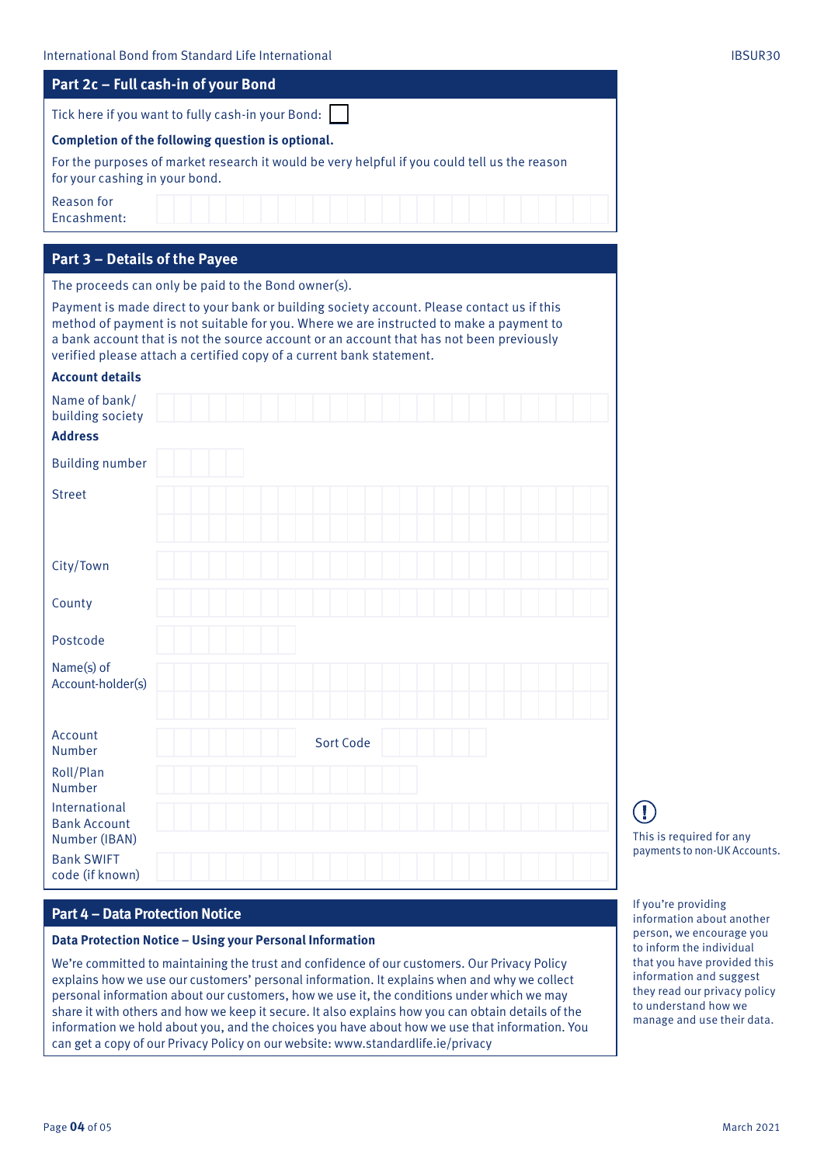| Part 2c - Full cash-in of your Bond                                                                                                                                                                                                                                                                                                                       |  |
|-----------------------------------------------------------------------------------------------------------------------------------------------------------------------------------------------------------------------------------------------------------------------------------------------------------------------------------------------------------|--|
| Tick here if you want to fully cash-in your Bond:                                                                                                                                                                                                                                                                                                         |  |
| Completion of the following question is optional.                                                                                                                                                                                                                                                                                                         |  |
| For the purposes of market research it would be very helpful if you could tell us the reason<br>for your cashing in your bond.                                                                                                                                                                                                                            |  |
| Reason for<br>Encashment:                                                                                                                                                                                                                                                                                                                                 |  |
| Part 3 - Details of the Payee                                                                                                                                                                                                                                                                                                                             |  |
| The proceeds can only be paid to the Bond owner(s).                                                                                                                                                                                                                                                                                                       |  |
| Payment is made direct to your bank or building society account. Please contact us if this<br>method of payment is not suitable for you. Where we are instructed to make a payment to<br>a bank account that is not the source account or an account that has not been previously<br>verified please attach a certified copy of a current bank statement. |  |
| <b>Account details</b>                                                                                                                                                                                                                                                                                                                                    |  |
| Name of bank/<br>building society<br><b>Address</b>                                                                                                                                                                                                                                                                                                       |  |
|                                                                                                                                                                                                                                                                                                                                                           |  |
| <b>Building number</b>                                                                                                                                                                                                                                                                                                                                    |  |
| <b>Street</b>                                                                                                                                                                                                                                                                                                                                             |  |
| City/Town                                                                                                                                                                                                                                                                                                                                                 |  |
| County                                                                                                                                                                                                                                                                                                                                                    |  |
| Postcode                                                                                                                                                                                                                                                                                                                                                  |  |
| Name(s) of<br>Account-holder(s)                                                                                                                                                                                                                                                                                                                           |  |
| Account<br><b>Sort Code</b><br>Number                                                                                                                                                                                                                                                                                                                     |  |
| Roll/Plan<br>Number                                                                                                                                                                                                                                                                                                                                       |  |
| International<br><b>Bank Account</b><br>Number (IBAN)                                                                                                                                                                                                                                                                                                     |  |
| <b>Bank SWIFT</b><br>code (if known)                                                                                                                                                                                                                                                                                                                      |  |

#### **Part 4 – Data Protection Notice**

#### **Data Protection Notice – Using your Personal Information**

We're committed to maintaining the trust and confidence of our customers. Our Privacy Policy explains how we use our customers' personal information. It explains when and why we collect personal information about our customers, how we use it, the conditions under which we may share it with others and how we keep it secure. It also explains how you can obtain details of the information we hold about you, and the choices you have about how we use that information. You can get a copy of our Privacy Policy on our website: www.standardlife.ie/privacy

This is required for any payments to non-UK Accounts.

#### If you're providing information about another person, we encourage you to inform the individual that you have provided this information and suggest they read our privacy policy to understand how we manage and use their data.